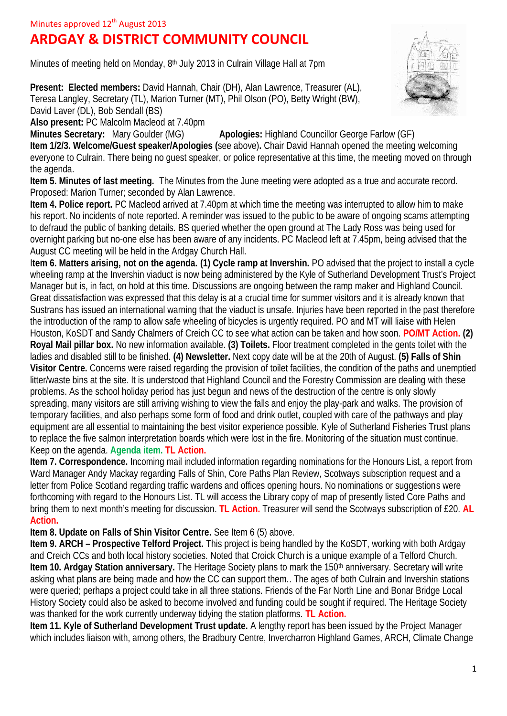## **ARDGAY & DISTRICT COMMUNITY COUNCIL**

Minutes of meeting held on Monday, 8 th July 2013 in Culrain Village Hall at 7pm

**Present: Elected members:** David Hannah, Chair (DH), Alan Lawrence, Treasurer (AL), Teresa Langley, Secretary (TL), Marion Turner (MT), Phil Olson (PO), Betty Wright (BW), David Laver (DL), Bob Sendall (BS)

**Also present:** PC Malcolm Macleod at 7.40pm

**Minutes Secretary:** Mary Goulder (MG) **Apologies:** Highland Councillor George Farlow (GF) **Item 1/2/3. Welcome/Guest speaker/Apologies (**see above)**.** Chair David Hannah opened the meeting welcoming everyone to Culrain. There being no guest speaker, or police representative at this time, the meeting moved on through the agenda.

**Item 5. Minutes of last meeting.** The Minutes from the June meeting were adopted as a true and accurate record. Proposed: Marion Turner; seconded by Alan Lawrence.

**Item 4. Police report.** PC Madeod arrived at 7.40pm at which time the meeting was interrupted to allow him to make his report. No incidents of note reported. A reminder was issued to the public to be aware of ongoing scams attempting to defraud the public of banking details. BS queried whether the open ground at The Lady Ross was being used for overnight parking but no-one else has been aware of any incidents. PC Macleod left at 7.45pm, being advised that the August CC meeting will be held in the Ardgay Church Hall.

I**tem 6. Matters arising, not on the agenda. (1) Cycle ramp at Invershin.** PO advised that the project to install a cycle wheeling ramp at the Invershin viaduct is now being administered by the Kyle of Sutherland Development Trust's Project Manager but is, in fact, on hold at this time. Discussions are ongoing between the ramp maker and Highland Council. Great dissatisfaction was expressed that this delay is at a crucial time for summer visitors and it is already known that Sustrans has issued an international warning that the viaduct is unsafe. Injuries have been reported in the past therefore the introduction of the ramp to allow safe wheeling of bicycles is urgently required. PO and MT will liaise with Helen Houston, KoSDT and Sandy Chalmers of Creich CC to see what action can be taken and how soon. **PO/MT Action. (2) Royal Mail pillar box.** No new information available. **(3) Toilets.** Floor treatment completed in the gents toilet with the ladies and disabled still to be finished. **(4) Newsletter.** Next copy date will be at the 20th of August. **(5) Falls of Shin Visitor Centre.** Concerns were raised regarding the provision of toilet facilities, the condition of the paths and unemptied litter/waste bins at the site. It is understood that Highland Council and the Forestry Commission are dealing with these problems. As the school holiday period has just begun and news of the destruction of the centre is only slowly spreading, many visitors are still arriving wishing to view the falls and enjoy the play-park and walks. The provision of temporary facilities, and also perhaps some form of food and drink outlet, coupled with care of the pathways and play equipment are all essential to maintaining the best visitor experience possible. Kyle of Sutherland Fisheries Trust plans to replace the five salmon interpretation boards which were lost in the fire. Monitoring of the situation must continue. Keep on the agenda. **Agenda item. TL Action.**

**Item 7. Correspondence.** Incoming mail included information regarding nominations for the Honours List, a report from Ward Manager Andy Mackay regarding Falls of Shin, Core Paths Plan Review, Scotways subscription request and a letter from Police Scotland regarding traffic wardens and offices opening hours. No nominations or suggestions were forthcoming with regard to the Honours List. TL will access the Library copy of map of presently listed Core Paths and bring them to next month's meeting for discussion. **TL Action.** Treasurer will send the Scotways subscription of £20. **AL Action.**

**Item 8. Update on Falls of Shin Visitor Centre.** See Item 6 (5) above.

**Item 9. ARCH – Prospective Telford Project.** This project is being handled by the KoSDT, working with both Ardgay and Creich CCs and both local history societies. Noted that Croick Church is a unique example of a Telford Church. **Item 10. Ardgay Station anniversary.** The Heritage Society plans to mark the 150<sup>th</sup> anniversary. Secretary will write asking what plans are being made and how the CC can support them.. The ages of both Culrain and Invershin stations were queried; perhaps a project could take in all three stations. Friends of the Far North Line and Bonar Bridge Local History Society could also be asked to become involved and funding could be sought if required. The Heritage Society was thanked for the work currently underway tidying the station platforms. **TL Action.**

**Item 11. Kyle of Sutherland Development Trust update.** A lengthy report has been issued by the Project Manager which includes liaison with, among others, the Bradbury Centre, Invercharron Highland Games, ARCH, Climate Change